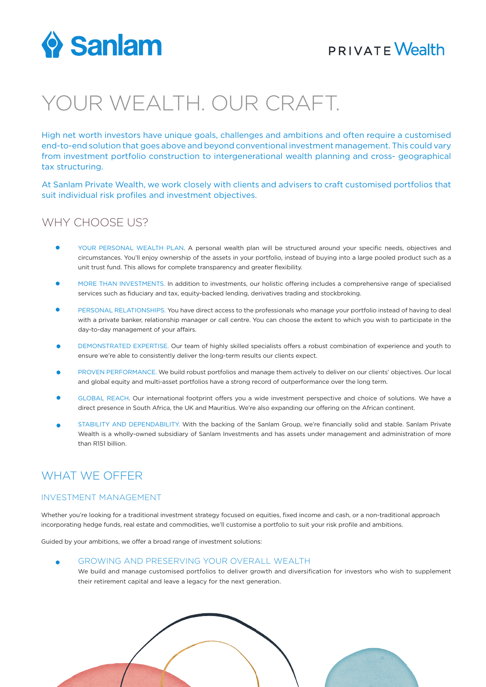

## **PRIVATE Wealth**

# YOUR WEALTH. OUR CRAFT.

High net worth investors have unique goals, challenges and ambitions and often require a customised end-to-end solution that goes above and beyond conventional investment management. This could vary from investment portfolio construction to intergenerational wealth planning and cross- geographical tax structuring.

At Sanlam Private Wealth, we work closely with clients and advisers to craft customised portfolios that suit individual risk profiles and investment objectives.

## WHY CHOOSE US?

- YOUR PERSONAL WEALTH PLAN. A personal wealth plan will be structured around your specific needs, objectives and circumstances. You'll enjoy ownership of the assets in your portfolio, instead of buying into a large pooled product such as a unit trust fund. This allows for complete transparency and greater flexibility.
- MORE THAN INVESTMENTS. In addition to investments, our holistic offering includes a comprehensive range of specialised services such as fiduciary and tax, equity-backed lending, derivatives trading and stockbroking.
- PERSONAL RELATIONSHIPS. You have direct access to the professionals who manage your portfolio instead of having to deal with a private banker, relationship manager or call centre. You can choose the extent to which you wish to participate in the day-to-day management of your affairs.
- DEMONSTRATED EXPERTISE. Our team of highly skilled specialists offers a robust combination of experience and youth to ensure we're able to consistently deliver the long-term results our clients expect.
- PROVEN PERFORMANCE. We build robust portfolios and manage them actively to deliver on our clients' objectives. Our local and global equity and multi-asset portfolios have a strong record of outperformance over the long term.
- GLOBAL REACH. Our international footprint offers you a wide investment perspective and choice of solutions. We have a direct presence in South Africa, the UK and Mauritius. We're also expanding our offering on the African continent.
- STABILITY AND DEPENDABILITY. With the backing of the Sanlam Group, we're financially solid and stable. Sanlam Private Wealth is a wholly-owned subsidiary of Sanlam Investments and has assets under management and administration of more than R151 billion.

## WHAT WE OFFER

#### INVESTMENT MANAGEMENT

Whether you're looking for a traditional investment strategy focused on equities, fixed income and cash, or a non-traditional approach incorporating hedge funds, real estate and commodities, we'll customise a portfolio to suit your risk profile and ambitions.

Guided by your ambitions, we offer a broad range of investment solutions:

- GROWING AND PRESERVING YOUR OVERALL WEALTH
	- We build and manage customised portfolios to deliver growth and diversification for investors who wish to supplement their retirement capital and leave a legacy for the next generation.